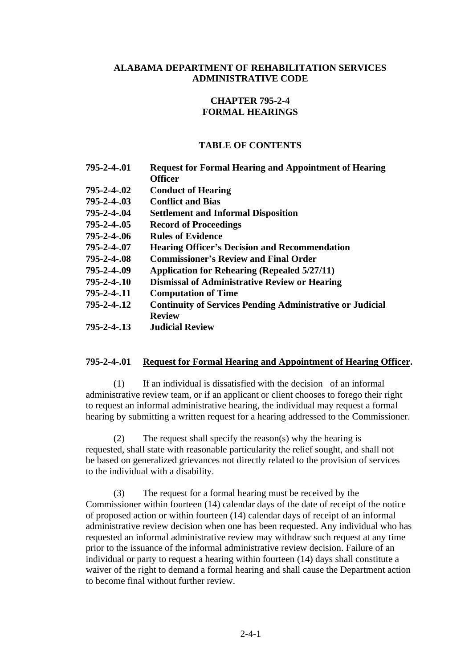### **ALABAMA DEPARTMENT OF REHABILITATION SERVICES ADMINISTRATIVE CODE**

# **CHAPTER 795-2-4 FORMAL HEARINGS**

### **TABLE OF CONTENTS**

| 795-2-4-.01        | <b>Request for Formal Hearing and Appointment of Hearing</b>     |
|--------------------|------------------------------------------------------------------|
|                    | <b>Officer</b>                                                   |
| 795-2-4-.02        | <b>Conduct of Hearing</b>                                        |
| $795 - 2 - 4 - 03$ | <b>Conflict and Bias</b>                                         |
| 795-2-4-.04        | <b>Settlement and Informal Disposition</b>                       |
| 795-2-4-.05        | <b>Record of Proceedings</b>                                     |
| 795-2-4-.06        | <b>Rules of Evidence</b>                                         |
| 795-2-4-.07        | <b>Hearing Officer's Decision and Recommendation</b>             |
| 795-2-4-.08        | <b>Commissioner's Review and Final Order</b>                     |
| 795-2-4-.09        | <b>Application for Rehearing (Repealed 5/27/11)</b>              |
| $795 - 2 - 4 - 10$ | <b>Dismissal of Administrative Review or Hearing</b>             |
| $795 - 2 - 4 - 11$ | <b>Computation of Time</b>                                       |
| 795-2-4-.12        | <b>Continuity of Services Pending Administrative or Judicial</b> |
|                    | <b>Review</b>                                                    |
| 795-2-4-.13        | <b>Judicial Review</b>                                           |

### **795-2-4-.01 Request for Formal Hearing and Appointment of Hearing Officer.**

(1) If an individual is dissatisfied with the decision of an informal administrative review team, or if an applicant or client chooses to forego their right to request an informal administrative hearing, the individual may request a formal hearing by submitting a written request for a hearing addressed to the Commissioner.

(2) The request shall specify the reason(s) why the hearing is requested, shall state with reasonable particularity the relief sought, and shall not be based on generalized grievances not directly related to the provision of services to the individual with a disability.

(3) The request for a formal hearing must be received by the Commissioner within fourteen (14) calendar days of the date of receipt of the notice of proposed action or within fourteen (14) calendar days of receipt of an informal administrative review decision when one has been requested. Any individual who has requested an informal administrative review may withdraw such request at any time prior to the issuance of the informal administrative review decision. Failure of an individual or party to request a hearing within fourteen (14) days shall constitute a waiver of the right to demand a formal hearing and shall cause the Department action to become final without further review.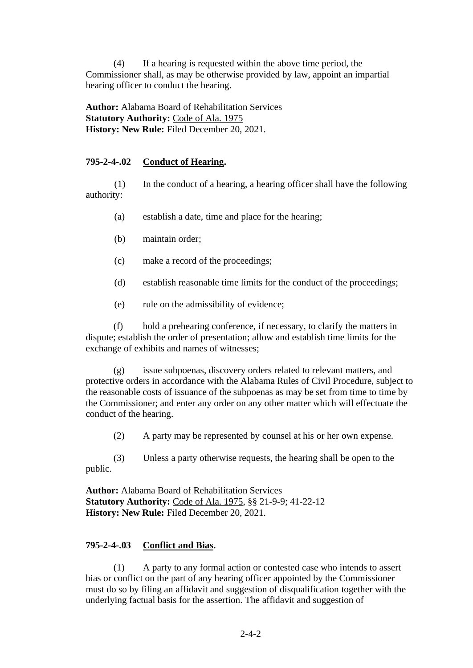(4) If a hearing is requested within the above time period, the Commissioner shall, as may be otherwise provided by law, appoint an impartial hearing officer to conduct the hearing.

**Author:** Alabama Board of Rehabilitation Services **Statutory Authority:** Code of Ala. 1975 **History: New Rule:** Filed December 20, 2021.

# **795-2-4-.02 Conduct of Hearing.**

(1) In the conduct of a hearing, a hearing officer shall have the following authority:

- (a) establish a date, time and place for the hearing;
- (b) maintain order;
- (c) make a record of the proceedings;
- (d) establish reasonable time limits for the conduct of the proceedings;
- (e) rule on the admissibility of evidence;

(f) hold a prehearing conference, if necessary, to clarify the matters in dispute; establish the order of presentation; allow and establish time limits for the exchange of exhibits and names of witnesses;

(g) issue subpoenas, discovery orders related to relevant matters, and protective orders in accordance with the Alabama Rules of Civil Procedure, subject to the reasonable costs of issuance of the subpoenas as may be set from time to time by the Commissioner; and enter any order on any other matter which will effectuate the conduct of the hearing.

(2) A party may be represented by counsel at his or her own expense.

(3) Unless a party otherwise requests, the hearing shall be open to the public.

**Author:** Alabama Board of Rehabilitation Services **Statutory Authority:** Code of Ala. 1975, §§ 21-9-9; 41-22-12 **History: New Rule:** Filed December 20, 2021.

# **795-2-4-.03 Conflict and Bias.**

(1) A party to any formal action or contested case who intends to assert bias or conflict on the part of any hearing officer appointed by the Commissioner must do so by filing an affidavit and suggestion of disqualification together with the underlying factual basis for the assertion. The affidavit and suggestion of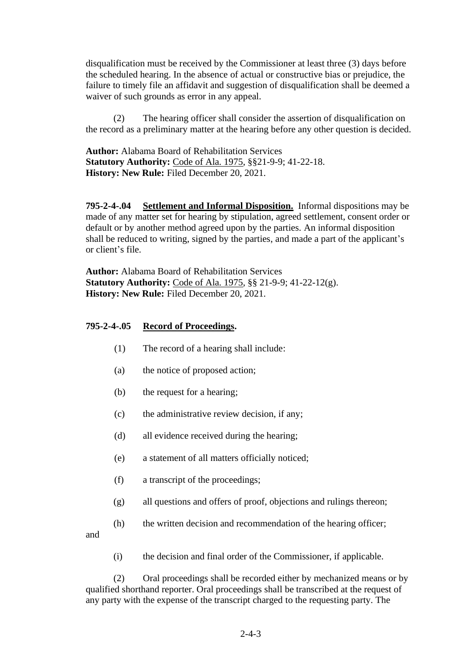disqualification must be received by the Commissioner at least three (3) days before the scheduled hearing. In the absence of actual or constructive bias or prejudice, the failure to timely file an affidavit and suggestion of disqualification shall be deemed a waiver of such grounds as error in any appeal.

(2) The hearing officer shall consider the assertion of disqualification on the record as a preliminary matter at the hearing before any other question is decided.

**Author:** Alabama Board of Rehabilitation Services **Statutory Authority:** Code of Ala. 1975, §§21-9-9; 41-22-18. **History: New Rule:** Filed December 20, 2021.

**795-2-4-.04 Settlement and Informal Disposition.** Informal dispositions may be made of any matter set for hearing by stipulation, agreed settlement, consent order or default or by another method agreed upon by the parties. An informal disposition shall be reduced to writing, signed by the parties, and made a part of the applicant's or client's file.

**Author:** Alabama Board of Rehabilitation Services **Statutory Authority:** Code of Ala. 1975, §§ 21-9-9; 41-22-12(g). **History: New Rule:** Filed December 20, 2021.

### **795-2-4-.05 Record of Proceedings.**

- (1) The record of a hearing shall include:
- (a) the notice of proposed action;
- (b) the request for a hearing;
- (c) the administrative review decision, if any;
- (d) all evidence received during the hearing;
- (e) a statement of all matters officially noticed;
- (f) a transcript of the proceedings;
- (g) all questions and offers of proof, objections and rulings thereon;
- (h) the written decision and recommendation of the hearing officer;

and

(i) the decision and final order of the Commissioner, if applicable.

(2) Oral proceedings shall be recorded either by mechanized means or by qualified shorthand reporter. Oral proceedings shall be transcribed at the request of any party with the expense of the transcript charged to the requesting party. The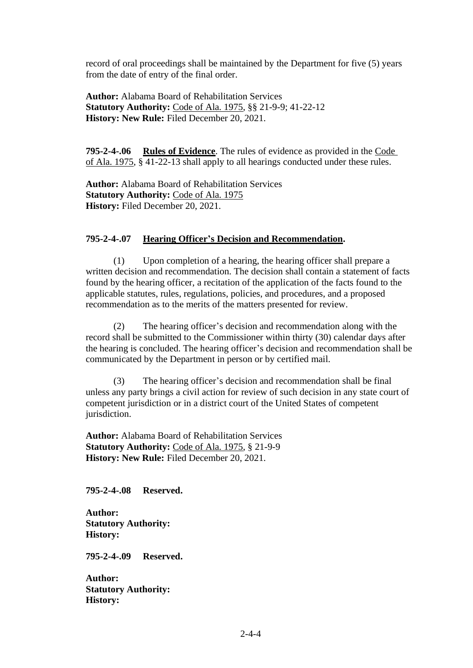record of oral proceedings shall be maintained by the Department for five (5) years from the date of entry of the final order.

**Author:** Alabama Board of Rehabilitation Services **Statutory Authority:** Code of Ala. 1975, §§ 21-9-9; 41-22-12 **History: New Rule:** Filed December 20, 2021.

**795-2-4-.06 Rules of Evidence**. The rules of evidence as provided in the Code of Ala. 1975, § 41-22-13 shall apply to all hearings conducted under these rules.

**Author:** Alabama Board of Rehabilitation Services **Statutory Authority:** Code of Ala. 1975 **History:** Filed December 20, 2021.

#### **795-2-4-.07 Hearing Officer's Decision and Recommendation.**

(1) Upon completion of a hearing, the hearing officer shall prepare a written decision and recommendation. The decision shall contain a statement of facts found by the hearing officer, a recitation of the application of the facts found to the applicable statutes, rules, regulations, policies, and procedures, and a proposed recommendation as to the merits of the matters presented for review.

(2) The hearing officer's decision and recommendation along with the record shall be submitted to the Commissioner within thirty (30) calendar days after the hearing is concluded. The hearing officer's decision and recommendation shall be communicated by the Department in person or by certified mail.

(3) The hearing officer's decision and recommendation shall be final unless any party brings a civil action for review of such decision in any state court of competent jurisdiction or in a district court of the United States of competent jurisdiction.

**Author:** Alabama Board of Rehabilitation Services **Statutory Authority:** Code of Ala. 1975, § 21-9-9 **History: New Rule:** Filed December 20, 2021.

**795-2-4-.08 Reserved.**

**Author: Statutory Authority: History:** 

**795-2-4-.09 Reserved.**

**Author: Statutory Authority: History:**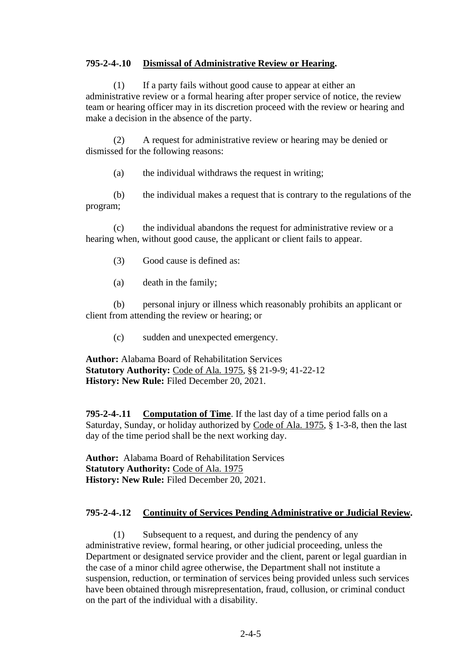### **795-2-4-.10 Dismissal of Administrative Review or Hearing.**

(1) If a party fails without good cause to appear at either an administrative review or a formal hearing after proper service of notice, the review team or hearing officer may in its discretion proceed with the review or hearing and make a decision in the absence of the party.

(2) A request for administrative review or hearing may be denied or dismissed for the following reasons:

(a) the individual withdraws the request in writing;

(b) the individual makes a request that is contrary to the regulations of the program;

(c) the individual abandons the request for administrative review or a hearing when, without good cause, the applicant or client fails to appear.

- (3) Good cause is defined as:
- (a) death in the family;

(b) personal injury or illness which reasonably prohibits an applicant or client from attending the review or hearing; or

(c) sudden and unexpected emergency.

**Author:** Alabama Board of Rehabilitation Services **Statutory Authority:** Code of Ala. 1975, §§ 21-9-9; 41-22-12 **History: New Rule:** Filed December 20, 2021.

**795-2-4-.11 Computation of Time**. If the last day of a time period falls on a Saturday, Sunday, or holiday authorized by Code of Ala. 1975, § 1-3-8, then the last day of the time period shall be the next working day.

**Author:** Alabama Board of Rehabilitation Services **Statutory Authority:** Code of Ala. 1975 **History: New Rule:** Filed December 20, 2021.

# **795-2-4-.12 Continuity of Services Pending Administrative or Judicial Review.**

(1) Subsequent to a request, and during the pendency of any administrative review, formal hearing, or other judicial proceeding, unless the Department or designated service provider and the client, parent or legal guardian in the case of a minor child agree otherwise, the Department shall not institute a suspension, reduction, or termination of services being provided unless such services have been obtained through misrepresentation, fraud, collusion, or criminal conduct on the part of the individual with a disability.